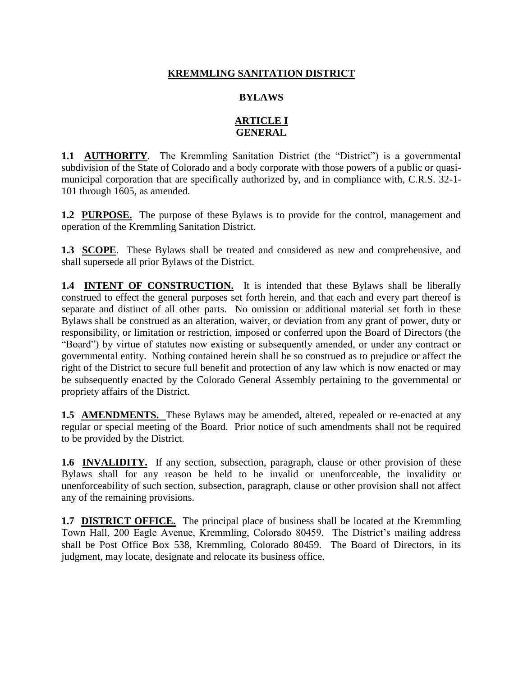# **KREMMLING SANITATION DISTRICT**

## **BYLAWS**

## **ARTICLE I GENERAL**

**1.1 AUTHORITY**. The Kremmling Sanitation District (the "District") is a governmental subdivision of the State of Colorado and a body corporate with those powers of a public or quasimunicipal corporation that are specifically authorized by, and in compliance with, C.R.S. 32-1- 101 through 1605, as amended.

**1.2 PURPOSE.** The purpose of these Bylaws is to provide for the control, management and operation of the Kremmling Sanitation District.

**1.3 SCOPE**. These Bylaws shall be treated and considered as new and comprehensive, and shall supersede all prior Bylaws of the District.

**1.4 INTENT OF CONSTRUCTION.** It is intended that these Bylaws shall be liberally construed to effect the general purposes set forth herein, and that each and every part thereof is separate and distinct of all other parts. No omission or additional material set forth in these Bylaws shall be construed as an alteration, waiver, or deviation from any grant of power, duty or responsibility, or limitation or restriction, imposed or conferred upon the Board of Directors (the "Board") by virtue of statutes now existing or subsequently amended, or under any contract or governmental entity. Nothing contained herein shall be so construed as to prejudice or affect the right of the District to secure full benefit and protection of any law which is now enacted or may be subsequently enacted by the Colorado General Assembly pertaining to the governmental or propriety affairs of the District.

**1.5 AMENDMENTS.** These Bylaws may be amended, altered, repealed or re-enacted at any regular or special meeting of the Board. Prior notice of such amendments shall not be required to be provided by the District.

**1.6 INVALIDITY.** If any section, subsection, paragraph, clause or other provision of these Bylaws shall for any reason be held to be invalid or unenforceable, the invalidity or unenforceability of such section, subsection, paragraph, clause or other provision shall not affect any of the remaining provisions.

**1.7 DISTRICT OFFICE.** The principal place of business shall be located at the Kremmling Town Hall, 200 Eagle Avenue, Kremmling, Colorado 80459. The District's mailing address shall be Post Office Box 538, Kremmling, Colorado 80459. The Board of Directors, in its judgment, may locate, designate and relocate its business office.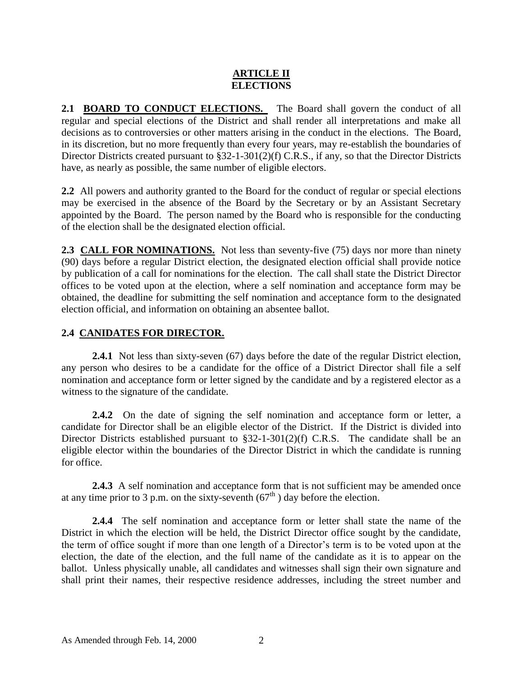# **ARTICLE II ELECTIONS**

**2.1 BOARD TO CONDUCT ELECTIONS.** The Board shall govern the conduct of all regular and special elections of the District and shall render all interpretations and make all decisions as to controversies or other matters arising in the conduct in the elections. The Board, in its discretion, but no more frequently than every four years, may re-establish the boundaries of Director Districts created pursuant to §32-1-301(2)(f) C.R.S., if any, so that the Director Districts have, as nearly as possible, the same number of eligible electors.

**2.2** All powers and authority granted to the Board for the conduct of regular or special elections may be exercised in the absence of the Board by the Secretary or by an Assistant Secretary appointed by the Board. The person named by the Board who is responsible for the conducting of the election shall be the designated election official.

**2.3 CALL FOR NOMINATIONS.** Not less than seventy-five (75) days nor more than ninety (90) days before a regular District election, the designated election official shall provide notice by publication of a call for nominations for the election. The call shall state the District Director offices to be voted upon at the election, where a self nomination and acceptance form may be obtained, the deadline for submitting the self nomination and acceptance form to the designated election official, and information on obtaining an absentee ballot.

# **2.4 CANIDATES FOR DIRECTOR.**

**2.4.1** Not less than sixty-seven (67) days before the date of the regular District election, any person who desires to be a candidate for the office of a District Director shall file a self nomination and acceptance form or letter signed by the candidate and by a registered elector as a witness to the signature of the candidate.

**2.4.2** On the date of signing the self nomination and acceptance form or letter, a candidate for Director shall be an eligible elector of the District. If the District is divided into Director Districts established pursuant to §32-1-301(2)(f) C.R.S. The candidate shall be an eligible elector within the boundaries of the Director District in which the candidate is running for office.

**2.4.3** A self nomination and acceptance form that is not sufficient may be amended once at any time prior to 3 p.m. on the sixty-seventh  $(67<sup>th</sup>)$  day before the election.

**2.4.4** The self nomination and acceptance form or letter shall state the name of the District in which the election will be held, the District Director office sought by the candidate, the term of office sought if more than one length of a Director's term is to be voted upon at the election, the date of the election, and the full name of the candidate as it is to appear on the ballot. Unless physically unable, all candidates and witnesses shall sign their own signature and shall print their names, their respective residence addresses, including the street number and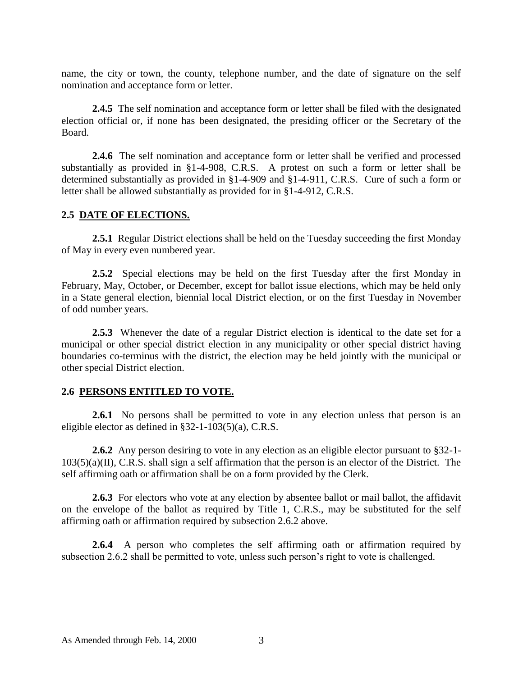name, the city or town, the county, telephone number, and the date of signature on the self nomination and acceptance form or letter.

**2.4.5** The self nomination and acceptance form or letter shall be filed with the designated election official or, if none has been designated, the presiding officer or the Secretary of the Board.

**2.4.6** The self nomination and acceptance form or letter shall be verified and processed substantially as provided in §1-4-908, C.R.S. A protest on such a form or letter shall be determined substantially as provided in §1-4-909 and §1-4-911, C.R.S. Cure of such a form or letter shall be allowed substantially as provided for in §1-4-912, C.R.S.

### **2.5 DATE OF ELECTIONS.**

**2.5.1** Regular District elections shall be held on the Tuesday succeeding the first Monday of May in every even numbered year.

**2.5.2** Special elections may be held on the first Tuesday after the first Monday in February, May, October, or December, except for ballot issue elections, which may be held only in a State general election, biennial local District election, or on the first Tuesday in November of odd number years.

**2.5.3** Whenever the date of a regular District election is identical to the date set for a municipal or other special district election in any municipality or other special district having boundaries co-terminus with the district, the election may be held jointly with the municipal or other special District election.

### **2.6 PERSONS ENTITLED TO VOTE.**

**2.6.1** No persons shall be permitted to vote in any election unless that person is an eligible elector as defined in §32-1-103(5)(a), C.R.S.

**2.6.2** Any person desiring to vote in any election as an eligible elector pursuant to §32-1- 103(5)(a)(II), C.R.S. shall sign a self affirmation that the person is an elector of the District. The self affirming oath or affirmation shall be on a form provided by the Clerk.

**2.6.3** For electors who vote at any election by absentee ballot or mail ballot, the affidavit on the envelope of the ballot as required by Title 1, C.R.S., may be substituted for the self affirming oath or affirmation required by subsection 2.6.2 above.

2.6.4 A person who completes the self affirming oath or affirmation required by subsection 2.6.2 shall be permitted to vote, unless such person's right to vote is challenged.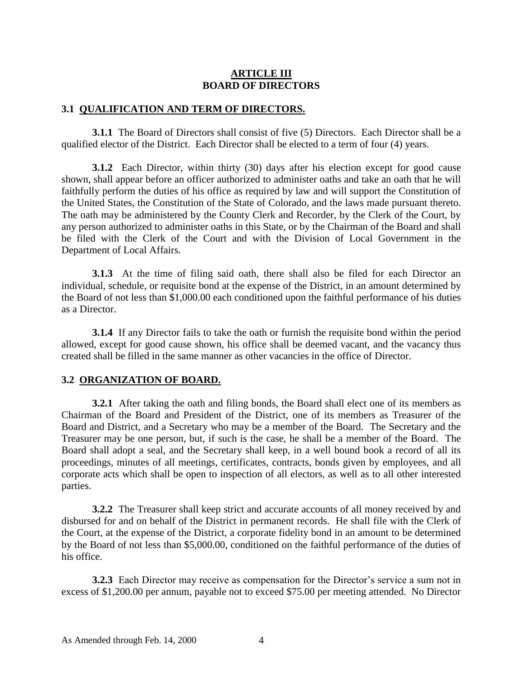### **ARTICLE III BOARD OF DIRECTORS**

#### **3.1 QUALIFICATION AND TERM OF DIRECTORS.**

**3.1.1** The Board of Directors shall consist of five (5) Directors. Each Director shall be a qualified elector of the District. Each Director shall be elected to a term of four (4) years.

**3.1.2** Each Director, within thirty (30) days after his election except for good cause shown, shall appear before an officer authorized to administer oaths and take an oath that he will faithfully perform the duties of his office as required by law and will support the Constitution of the United States, the Constitution of the State of Colorado, and the laws made pursuant thereto. The oath may be administered by the County Clerk and Recorder, by the Clerk of the Court, by any person authorized to administer oaths in this State, or by the Chairman of the Board and shall be filed with the Clerk of the Court and with the Division of Local Government in the Department of Local Affairs.

**3.1.3** At the time of filing said oath, there shall also be filed for each Director an individual, schedule, or requisite bond at the expense of the District, in an amount determined by the Board of not less than \$1,000.00 each conditioned upon the faithful performance of his duties as a Director.

**3.1.4** If any Director fails to take the oath or furnish the requisite bond within the period allowed, except for good cause shown, his office shall be deemed vacant, and the vacancy thus created shall be filled in the same manner as other vacancies in the office of Director.

#### **3.2 ORGANIZATION OF BOARD.**

**3.2.1** After taking the oath and filing bonds, the Board shall elect one of its members as Chairman of the Board and President of the District, one of its members as Treasurer of the Board and District, and a Secretary who may be a member of the Board. The Secretary and the Treasurer may be one person, but, if such is the case, he shall be a member of the Board. The Board shall adopt a seal, and the Secretary shall keep, in a well bound book a record of all its proceedings, minutes of all meetings, certificates, contracts, bonds given by employees, and all corporate acts which shall be open to inspection of all electors, as well as to all other interested parties.

**3.2.2** The Treasurer shall keep strict and accurate accounts of all money received by and disbursed for and on behalf of the District in permanent records. He shall file with the Clerk of the Court, at the expense of the District, a corporate fidelity bond in an amount to be determined by the Board of not less than \$5,000.00, conditioned on the faithful performance of the duties of his office.

**3.2.3** Each Director may receive as compensation for the Director's service a sum not in excess of \$1,200.00 per annum, payable not to exceed \$75.00 per meeting attended. No Director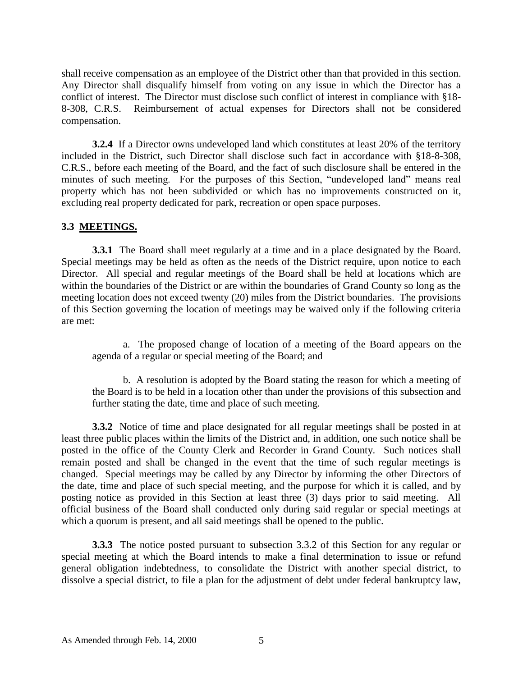shall receive compensation as an employee of the District other than that provided in this section. Any Director shall disqualify himself from voting on any issue in which the Director has a conflict of interest. The Director must disclose such conflict of interest in compliance with §18- 8-308, C.R.S. Reimbursement of actual expenses for Directors shall not be considered compensation.

**3.2.4** If a Director owns undeveloped land which constitutes at least 20% of the territory included in the District, such Director shall disclose such fact in accordance with §18-8-308, C.R.S., before each meeting of the Board, and the fact of such disclosure shall be entered in the minutes of such meeting. For the purposes of this Section, "undeveloped land" means real property which has not been subdivided or which has no improvements constructed on it, excluding real property dedicated for park, recreation or open space purposes.

## **3.3 MEETINGS.**

**3.3.1** The Board shall meet regularly at a time and in a place designated by the Board. Special meetings may be held as often as the needs of the District require, upon notice to each Director. All special and regular meetings of the Board shall be held at locations which are within the boundaries of the District or are within the boundaries of Grand County so long as the meeting location does not exceed twenty (20) miles from the District boundaries. The provisions of this Section governing the location of meetings may be waived only if the following criteria are met:

a. The proposed change of location of a meeting of the Board appears on the agenda of a regular or special meeting of the Board; and

b. A resolution is adopted by the Board stating the reason for which a meeting of the Board is to be held in a location other than under the provisions of this subsection and further stating the date, time and place of such meeting.

**3.3.2** Notice of time and place designated for all regular meetings shall be posted in at least three public places within the limits of the District and, in addition, one such notice shall be posted in the office of the County Clerk and Recorder in Grand County. Such notices shall remain posted and shall be changed in the event that the time of such regular meetings is changed. Special meetings may be called by any Director by informing the other Directors of the date, time and place of such special meeting, and the purpose for which it is called, and by posting notice as provided in this Section at least three (3) days prior to said meeting. All official business of the Board shall conducted only during said regular or special meetings at which a quorum is present, and all said meetings shall be opened to the public.

**3.3.3** The notice posted pursuant to subsection 3.3.2 of this Section for any regular or special meeting at which the Board intends to make a final determination to issue or refund general obligation indebtedness, to consolidate the District with another special district, to dissolve a special district, to file a plan for the adjustment of debt under federal bankruptcy law,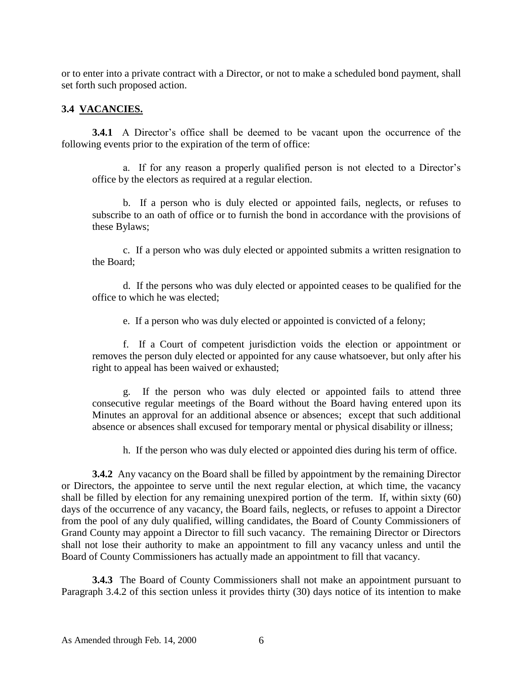or to enter into a private contract with a Director, or not to make a scheduled bond payment, shall set forth such proposed action.

## **3.4 VACANCIES.**

**3.4.1** A Director's office shall be deemed to be vacant upon the occurrence of the following events prior to the expiration of the term of office:

a. If for any reason a properly qualified person is not elected to a Director's office by the electors as required at a regular election.

b. If a person who is duly elected or appointed fails, neglects, or refuses to subscribe to an oath of office or to furnish the bond in accordance with the provisions of these Bylaws;

c. If a person who was duly elected or appointed submits a written resignation to the Board;

d. If the persons who was duly elected or appointed ceases to be qualified for the office to which he was elected;

e. If a person who was duly elected or appointed is convicted of a felony;

f. If a Court of competent jurisdiction voids the election or appointment or removes the person duly elected or appointed for any cause whatsoever, but only after his right to appeal has been waived or exhausted;

g. If the person who was duly elected or appointed fails to attend three consecutive regular meetings of the Board without the Board having entered upon its Minutes an approval for an additional absence or absences; except that such additional absence or absences shall excused for temporary mental or physical disability or illness;

h. If the person who was duly elected or appointed dies during his term of office.

**3.4.2** Any vacancy on the Board shall be filled by appointment by the remaining Director or Directors, the appointee to serve until the next regular election, at which time, the vacancy shall be filled by election for any remaining unexpired portion of the term. If, within sixty (60) days of the occurrence of any vacancy, the Board fails, neglects, or refuses to appoint a Director from the pool of any duly qualified, willing candidates, the Board of County Commissioners of Grand County may appoint a Director to fill such vacancy. The remaining Director or Directors shall not lose their authority to make an appointment to fill any vacancy unless and until the Board of County Commissioners has actually made an appointment to fill that vacancy.

**3.4.3** The Board of County Commissioners shall not make an appointment pursuant to Paragraph 3.4.2 of this section unless it provides thirty (30) days notice of its intention to make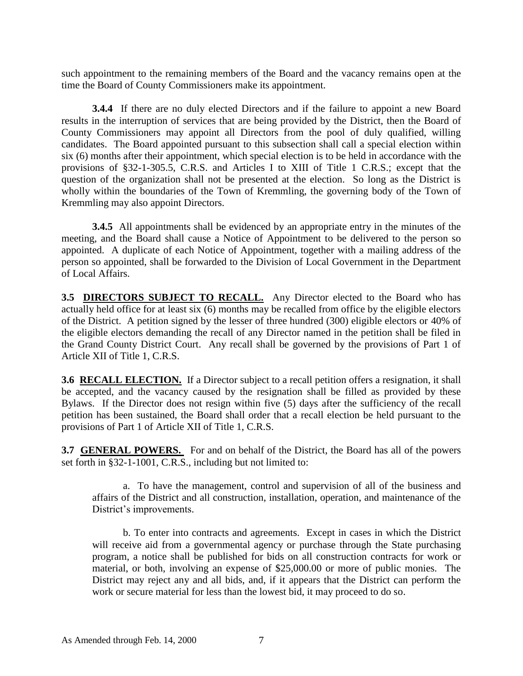such appointment to the remaining members of the Board and the vacancy remains open at the time the Board of County Commissioners make its appointment.

**3.4.4** If there are no duly elected Directors and if the failure to appoint a new Board results in the interruption of services that are being provided by the District, then the Board of County Commissioners may appoint all Directors from the pool of duly qualified, willing candidates. The Board appointed pursuant to this subsection shall call a special election within six (6) months after their appointment, which special election is to be held in accordance with the provisions of §32-1-305.5, C.R.S. and Articles I to XIII of Title 1 C.R.S.; except that the question of the organization shall not be presented at the election. So long as the District is wholly within the boundaries of the Town of Kremmling, the governing body of the Town of Kremmling may also appoint Directors.

**3.4.5** All appointments shall be evidenced by an appropriate entry in the minutes of the meeting, and the Board shall cause a Notice of Appointment to be delivered to the person so appointed. A duplicate of each Notice of Appointment, together with a mailing address of the person so appointed, shall be forwarded to the Division of Local Government in the Department of Local Affairs.

**3.5 DIRECTORS SUBJECT TO RECALL.** Any Director elected to the Board who has actually held office for at least six (6) months may be recalled from office by the eligible electors of the District. A petition signed by the lesser of three hundred (300) eligible electors or 40% of the eligible electors demanding the recall of any Director named in the petition shall be filed in the Grand County District Court. Any recall shall be governed by the provisions of Part 1 of Article XII of Title 1, C.R.S.

**3.6 RECALL ELECTION.** If a Director subject to a recall petition offers a resignation, it shall be accepted, and the vacancy caused by the resignation shall be filled as provided by these Bylaws. If the Director does not resign within five (5) days after the sufficiency of the recall petition has been sustained, the Board shall order that a recall election be held pursuant to the provisions of Part 1 of Article XII of Title 1, C.R.S.

**3.7 GENERAL POWERS.** For and on behalf of the District, the Board has all of the powers set forth in §32-1-1001, C.R.S., including but not limited to:

a. To have the management, control and supervision of all of the business and affairs of the District and all construction, installation, operation, and maintenance of the District's improvements.

b. To enter into contracts and agreements. Except in cases in which the District will receive aid from a governmental agency or purchase through the State purchasing program, a notice shall be published for bids on all construction contracts for work or material, or both, involving an expense of \$25,000.00 or more of public monies. The District may reject any and all bids, and, if it appears that the District can perform the work or secure material for less than the lowest bid, it may proceed to do so.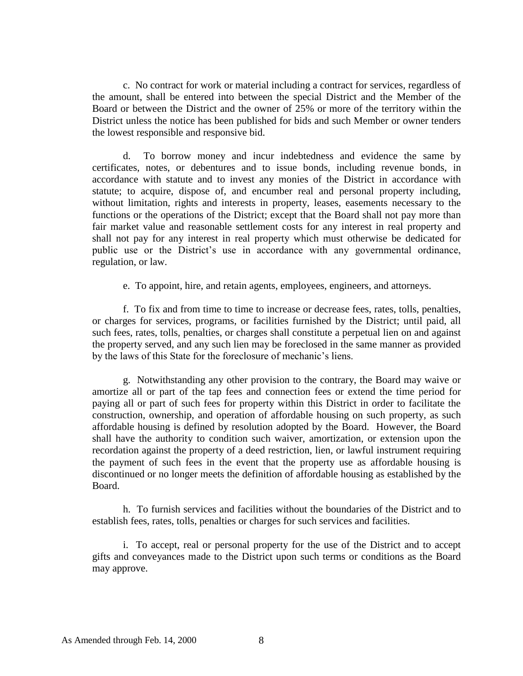c. No contract for work or material including a contract for services, regardless of the amount, shall be entered into between the special District and the Member of the Board or between the District and the owner of 25% or more of the territory within the District unless the notice has been published for bids and such Member or owner tenders the lowest responsible and responsive bid.

d. To borrow money and incur indebtedness and evidence the same by certificates, notes, or debentures and to issue bonds, including revenue bonds, in accordance with statute and to invest any monies of the District in accordance with statute; to acquire, dispose of, and encumber real and personal property including, without limitation, rights and interests in property, leases, easements necessary to the functions or the operations of the District; except that the Board shall not pay more than fair market value and reasonable settlement costs for any interest in real property and shall not pay for any interest in real property which must otherwise be dedicated for public use or the District's use in accordance with any governmental ordinance, regulation, or law.

e. To appoint, hire, and retain agents, employees, engineers, and attorneys.

f. To fix and from time to time to increase or decrease fees, rates, tolls, penalties, or charges for services, programs, or facilities furnished by the District; until paid, all such fees, rates, tolls, penalties, or charges shall constitute a perpetual lien on and against the property served, and any such lien may be foreclosed in the same manner as provided by the laws of this State for the foreclosure of mechanic's liens.

g. Notwithstanding any other provision to the contrary, the Board may waive or amortize all or part of the tap fees and connection fees or extend the time period for paying all or part of such fees for property within this District in order to facilitate the construction, ownership, and operation of affordable housing on such property, as such affordable housing is defined by resolution adopted by the Board. However, the Board shall have the authority to condition such waiver, amortization, or extension upon the recordation against the property of a deed restriction, lien, or lawful instrument requiring the payment of such fees in the event that the property use as affordable housing is discontinued or no longer meets the definition of affordable housing as established by the Board.

h. To furnish services and facilities without the boundaries of the District and to establish fees, rates, tolls, penalties or charges for such services and facilities.

i. To accept, real or personal property for the use of the District and to accept gifts and conveyances made to the District upon such terms or conditions as the Board may approve.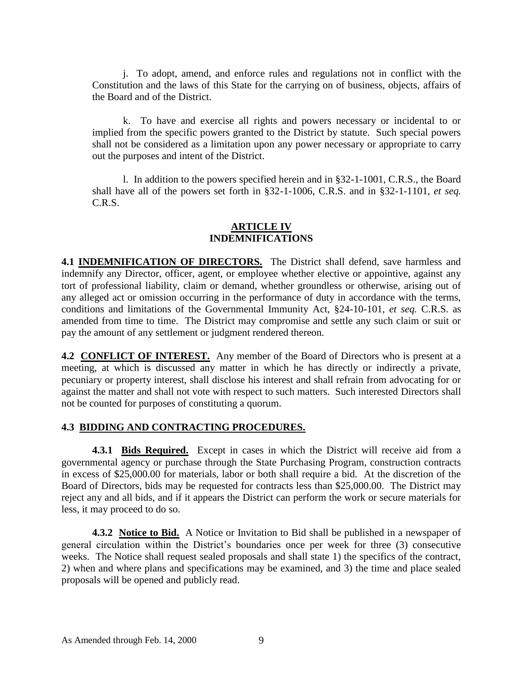j. To adopt, amend, and enforce rules and regulations not in conflict with the Constitution and the laws of this State for the carrying on of business, objects, affairs of the Board and of the District.

k. To have and exercise all rights and powers necessary or incidental to or implied from the specific powers granted to the District by statute. Such special powers shall not be considered as a limitation upon any power necessary or appropriate to carry out the purposes and intent of the District.

l. In addition to the powers specified herein and in §32-1-1001, C.R.S., the Board shall have all of the powers set forth in §32-1-1006, C.R.S. and in §32-1-1101, *et seq.* C.R.S.

## **ARTICLE IV INDEMNIFICATIONS**

**4.1 INDEMNIFICATION OF DIRECTORS.** The District shall defend, save harmless and indemnify any Director, officer, agent, or employee whether elective or appointive, against any tort of professional liability, claim or demand, whether groundless or otherwise, arising out of any alleged act or omission occurring in the performance of duty in accordance with the terms, conditions and limitations of the Governmental Immunity Act, §24-10-101, *et seq.* C.R.S. as amended from time to time. The District may compromise and settle any such claim or suit or pay the amount of any settlement or judgment rendered thereon.

**4.2 CONFLICT OF INTEREST.** Any member of the Board of Directors who is present at a meeting, at which is discussed any matter in which he has directly or indirectly a private, pecuniary or property interest, shall disclose his interest and shall refrain from advocating for or against the matter and shall not vote with respect to such matters. Such interested Directors shall not be counted for purposes of constituting a quorum.

## **4.3 BIDDING AND CONTRACTING PROCEDURES.**

**4.3.1 Bids Required.** Except in cases in which the District will receive aid from a governmental agency or purchase through the State Purchasing Program, construction contracts in excess of \$25,000.00 for materials, labor or both shall require a bid. At the discretion of the Board of Directors, bids may be requested for contracts less than \$25,000.00. The District may reject any and all bids, and if it appears the District can perform the work or secure materials for less, it may proceed to do so.

**4.3.2 Notice to Bid.** A Notice or Invitation to Bid shall be published in a newspaper of general circulation within the District's boundaries once per week for three (3) consecutive weeks. The Notice shall request sealed proposals and shall state 1) the specifics of the contract, 2) when and where plans and specifications may be examined, and 3) the time and place sealed proposals will be opened and publicly read.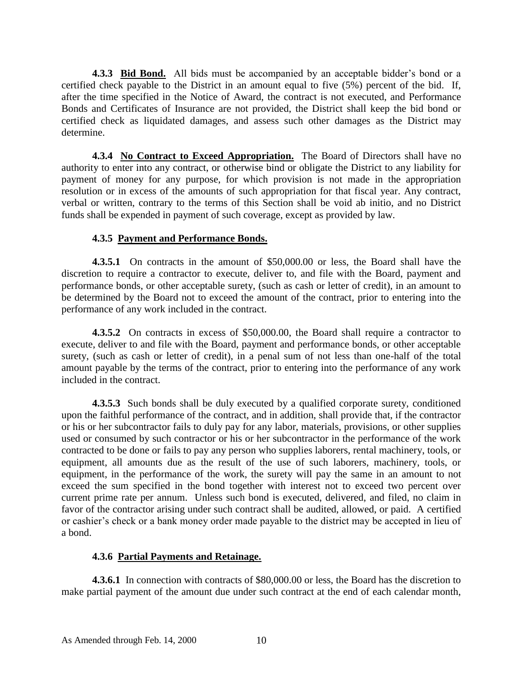**4.3.3 Bid Bond.** All bids must be accompanied by an acceptable bidder's bond or a certified check payable to the District in an amount equal to five (5%) percent of the bid. If, after the time specified in the Notice of Award, the contract is not executed, and Performance Bonds and Certificates of Insurance are not provided, the District shall keep the bid bond or certified check as liquidated damages, and assess such other damages as the District may determine.

**4.3.4 No Contract to Exceed Appropriation.** The Board of Directors shall have no authority to enter into any contract, or otherwise bind or obligate the District to any liability for payment of money for any purpose, for which provision is not made in the appropriation resolution or in excess of the amounts of such appropriation for that fiscal year. Any contract, verbal or written, contrary to the terms of this Section shall be void ab initio, and no District funds shall be expended in payment of such coverage, except as provided by law.

## **4.3.5 Payment and Performance Bonds.**

**4.3.5.1** On contracts in the amount of \$50,000.00 or less, the Board shall have the discretion to require a contractor to execute, deliver to, and file with the Board, payment and performance bonds, or other acceptable surety, (such as cash or letter of credit), in an amount to be determined by the Board not to exceed the amount of the contract, prior to entering into the performance of any work included in the contract.

**4.3.5.2** On contracts in excess of \$50,000.00, the Board shall require a contractor to execute, deliver to and file with the Board, payment and performance bonds, or other acceptable surety, (such as cash or letter of credit), in a penal sum of not less than one-half of the total amount payable by the terms of the contract, prior to entering into the performance of any work included in the contract.

**4.3.5.3** Such bonds shall be duly executed by a qualified corporate surety, conditioned upon the faithful performance of the contract, and in addition, shall provide that, if the contractor or his or her subcontractor fails to duly pay for any labor, materials, provisions, or other supplies used or consumed by such contractor or his or her subcontractor in the performance of the work contracted to be done or fails to pay any person who supplies laborers, rental machinery, tools, or equipment, all amounts due as the result of the use of such laborers, machinery, tools, or equipment, in the performance of the work, the surety will pay the same in an amount to not exceed the sum specified in the bond together with interest not to exceed two percent over current prime rate per annum. Unless such bond is executed, delivered, and filed, no claim in favor of the contractor arising under such contract shall be audited, allowed, or paid. A certified or cashier's check or a bank money order made payable to the district may be accepted in lieu of a bond.

## **4.3.6 Partial Payments and Retainage.**

**4.3.6.1** In connection with contracts of \$80,000.00 or less, the Board has the discretion to make partial payment of the amount due under such contract at the end of each calendar month,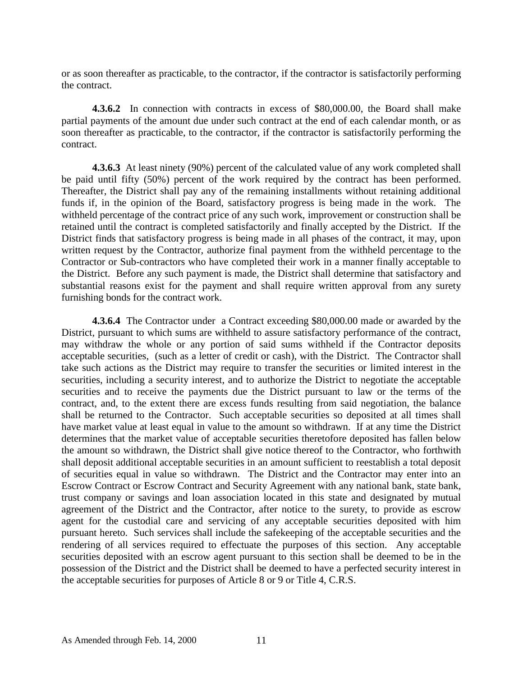or as soon thereafter as practicable, to the contractor, if the contractor is satisfactorily performing the contract.

**4.3.6.2** In connection with contracts in excess of \$80,000.00, the Board shall make partial payments of the amount due under such contract at the end of each calendar month, or as soon thereafter as practicable, to the contractor, if the contractor is satisfactorily performing the contract.

**4.3.6.3** At least ninety (90%) percent of the calculated value of any work completed shall be paid until fifty (50%) percent of the work required by the contract has been performed. Thereafter, the District shall pay any of the remaining installments without retaining additional funds if, in the opinion of the Board, satisfactory progress is being made in the work. The withheld percentage of the contract price of any such work, improvement or construction shall be retained until the contract is completed satisfactorily and finally accepted by the District. If the District finds that satisfactory progress is being made in all phases of the contract, it may, upon written request by the Contractor, authorize final payment from the withheld percentage to the Contractor or Sub-contractors who have completed their work in a manner finally acceptable to the District. Before any such payment is made, the District shall determine that satisfactory and substantial reasons exist for the payment and shall require written approval from any surety furnishing bonds for the contract work.

**4.3.6.4** The Contractor under a Contract exceeding \$80,000.00 made or awarded by the District, pursuant to which sums are withheld to assure satisfactory performance of the contract, may withdraw the whole or any portion of said sums withheld if the Contractor deposits acceptable securities, (such as a letter of credit or cash), with the District. The Contractor shall take such actions as the District may require to transfer the securities or limited interest in the securities, including a security interest, and to authorize the District to negotiate the acceptable securities and to receive the payments due the District pursuant to law or the terms of the contract, and, to the extent there are excess funds resulting from said negotiation, the balance shall be returned to the Contractor. Such acceptable securities so deposited at all times shall have market value at least equal in value to the amount so withdrawn. If at any time the District determines that the market value of acceptable securities theretofore deposited has fallen below the amount so withdrawn, the District shall give notice thereof to the Contractor, who forthwith shall deposit additional acceptable securities in an amount sufficient to reestablish a total deposit of securities equal in value so withdrawn. The District and the Contractor may enter into an Escrow Contract or Escrow Contract and Security Agreement with any national bank, state bank, trust company or savings and loan association located in this state and designated by mutual agreement of the District and the Contractor, after notice to the surety, to provide as escrow agent for the custodial care and servicing of any acceptable securities deposited with him pursuant hereto. Such services shall include the safekeeping of the acceptable securities and the rendering of all services required to effectuate the purposes of this section. Any acceptable securities deposited with an escrow agent pursuant to this section shall be deemed to be in the possession of the District and the District shall be deemed to have a perfected security interest in the acceptable securities for purposes of Article 8 or 9 or Title 4, C.R.S.